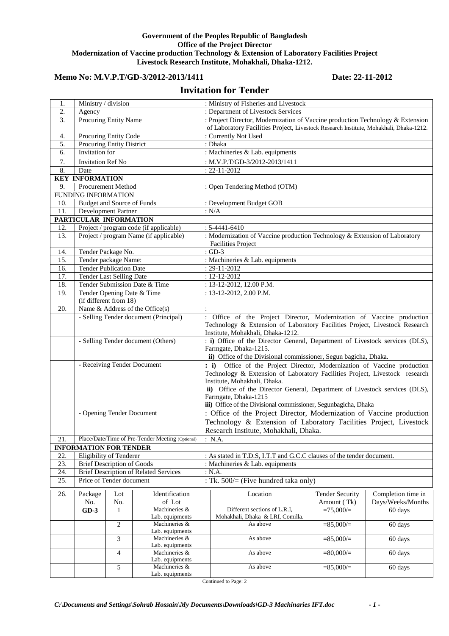### **Government of the Peoples Republic of Bangladesh Office of the Project Director Modernization of Vaccine production Technology & Extension of Laboratory Facilities Project Livestock Research Institute, Mohakhali, Dhaka-1212.**

# Memo No: M.V.P.T/GD-3/2012-2013/1411 Date: 22-11-2012

# **Invitation for Tender**

| 1.                | Ministry / division                                         |                    |                                  | : Ministry of Fisheries and Livestock                                       |                                                                                                                                                                                                  |                        |                    |  |  |
|-------------------|-------------------------------------------------------------|--------------------|----------------------------------|-----------------------------------------------------------------------------|--------------------------------------------------------------------------------------------------------------------------------------------------------------------------------------------------|------------------------|--------------------|--|--|
| 2.                | Agency<br>Procuring Entity Name                             |                    |                                  | : Department of Livestock Services                                          |                                                                                                                                                                                                  |                        |                    |  |  |
| 3.                |                                                             |                    |                                  |                                                                             | : Project Director, Modernization of Vaccine production Technology & Extension                                                                                                                   |                        |                    |  |  |
|                   |                                                             |                    |                                  |                                                                             | of Laboratory Facilities Project, Livestock Research Institute, Mohakhali, Dhaka-1212.                                                                                                           |                        |                    |  |  |
| 4.                | Procuring Entity Code                                       |                    |                                  |                                                                             | : Currently Not Used                                                                                                                                                                             |                        |                    |  |  |
| 5.                | <b>Procuring Entity District</b>                            |                    |                                  |                                                                             | : Dhaka                                                                                                                                                                                          |                        |                    |  |  |
| 6.                | Invitation for                                              |                    |                                  | : Machineries & Lab. equipments                                             |                                                                                                                                                                                                  |                        |                    |  |  |
| 7.                | <b>Invitation Ref No</b>                                    |                    |                                  |                                                                             | : M.V.P.T/GD-3/2012-2013/1411                                                                                                                                                                    |                        |                    |  |  |
| 8.                | Date                                                        |                    |                                  | $: 22 - 11 - 2012$                                                          |                                                                                                                                                                                                  |                        |                    |  |  |
|                   | <b>KEY INFORMATION</b>                                      |                    |                                  |                                                                             |                                                                                                                                                                                                  |                        |                    |  |  |
| 9.                | Procurement Method                                          |                    |                                  |                                                                             | : Open Tendering Method (OTM)                                                                                                                                                                    |                        |                    |  |  |
|                   | <b>FUNDING INFORMATION</b>                                  |                    |                                  |                                                                             |                                                                                                                                                                                                  |                        |                    |  |  |
| 10.               | Budget and Source of Funds                                  |                    |                                  |                                                                             | : Development Budget GOB                                                                                                                                                                         |                        |                    |  |  |
| 11.               | Development Partner                                         |                    |                                  | : N/A                                                                       |                                                                                                                                                                                                  |                        |                    |  |  |
|                   | PARTICULAR INFORMATION                                      |                    |                                  |                                                                             |                                                                                                                                                                                                  |                        |                    |  |  |
| 12.               | Project / program code (if applicable)                      |                    |                                  |                                                                             | $: 5-4441-6410$                                                                                                                                                                                  |                        |                    |  |  |
| $\overline{13}$ . | Project / program Name (if applicable)                      |                    |                                  |                                                                             | : Modernization of Vaccine production Technology & Extension of Laboratory                                                                                                                       |                        |                    |  |  |
|                   |                                                             |                    |                                  |                                                                             | <b>Facilities Project</b>                                                                                                                                                                        |                        |                    |  |  |
| 14.               |                                                             | Tender Package No. |                                  |                                                                             | $:$ GD-3                                                                                                                                                                                         |                        |                    |  |  |
| 15.               | Tender package Name:                                        |                    |                                  |                                                                             | : Machineries & Lab. equipments                                                                                                                                                                  |                        |                    |  |  |
| 16.               |                                                             |                    |                                  |                                                                             | $: 29 - 11 - 2012$                                                                                                                                                                               |                        |                    |  |  |
|                   | <b>Tender Publication Date</b>                              |                    |                                  |                                                                             | $: 12 - 12 - 2012$                                                                                                                                                                               |                        |                    |  |  |
| 17.               | Tender Last Selling Date                                    |                    |                                  |                                                                             | : 13-12-2012, 12.00 P.M.                                                                                                                                                                         |                        |                    |  |  |
| 18.               | Tender Submission Date & Time<br>Tender Opening Date & Time |                    |                                  |                                                                             |                                                                                                                                                                                                  |                        |                    |  |  |
| 19.               |                                                             |                    |                                  |                                                                             | : $13-12-2012$ , $2.00$ P.M.                                                                                                                                                                     |                        |                    |  |  |
|                   | (if different from 18)                                      |                    |                                  |                                                                             |                                                                                                                                                                                                  |                        |                    |  |  |
| 20.               | Name $&$ Address of the Office(s)                           |                    |                                  |                                                                             | $\ddot{\cdot}$                                                                                                                                                                                   |                        |                    |  |  |
|                   | - Selling Tender document (Principal)                       |                    |                                  |                                                                             | : Office of the Project Director, Modernization of Vaccine production<br>Technology & Extension of Laboratory Facilities Project, Livestock Research                                             |                        |                    |  |  |
|                   |                                                             |                    |                                  |                                                                             |                                                                                                                                                                                                  |                        |                    |  |  |
|                   |                                                             |                    |                                  |                                                                             | Institute, Mohakhali, Dhaka-1212.                                                                                                                                                                |                        |                    |  |  |
|                   | - Selling Tender document (Others)                          |                    |                                  |                                                                             | : i) Office of the Director General, Department of Livestock services (DLS),                                                                                                                     |                        |                    |  |  |
|                   |                                                             |                    |                                  |                                                                             | Farmgate, Dhaka-1215.                                                                                                                                                                            |                        |                    |  |  |
|                   |                                                             |                    |                                  |                                                                             | ii) Office of the Divisional commissioner, Segun bagicha, Dhaka.                                                                                                                                 |                        |                    |  |  |
|                   | - Receiving Tender Document                                 |                    |                                  |                                                                             | Office of the Project Director, Modernization of Vaccine production<br>$\colon i$<br>Technology & Extension of Laboratory Facilities Project, Livestock research<br>Institute, Mohakhali, Dhaka. |                        |                    |  |  |
|                   |                                                             |                    |                                  |                                                                             |                                                                                                                                                                                                  |                        |                    |  |  |
|                   |                                                             |                    |                                  |                                                                             |                                                                                                                                                                                                  |                        |                    |  |  |
|                   |                                                             |                    |                                  | ii) Office of the Director General, Department of Livestock services (DLS), |                                                                                                                                                                                                  |                        |                    |  |  |
|                   |                                                             |                    |                                  | Farmgate, Dhaka-1215                                                        |                                                                                                                                                                                                  |                        |                    |  |  |
|                   |                                                             |                    |                                  | iii) Office of the Divisional commissioner, Segunbagicha, Dhaka             |                                                                                                                                                                                                  |                        |                    |  |  |
|                   | - Opening Tender Document                                   |                    |                                  |                                                                             | : Office of the Project Director, Modernization of Vaccine production                                                                                                                            |                        |                    |  |  |
|                   |                                                             |                    |                                  |                                                                             | Technology & Extension of Laboratory Facilities Project, Livestock                                                                                                                               |                        |                    |  |  |
|                   |                                                             |                    |                                  | Research Institute, Mohakhali, Dhaka.                                       |                                                                                                                                                                                                  |                        |                    |  |  |
| 21.               | Place/Date/Time of Pre-Tender Meeting (Optional)            |                    |                                  |                                                                             | : N.A.                                                                                                                                                                                           |                        |                    |  |  |
|                   | <b>INFORMATION FOR TENDER</b>                               |                    |                                  |                                                                             |                                                                                                                                                                                                  |                        |                    |  |  |
| 22.               | Eligibility of Tenderer                                     |                    |                                  |                                                                             | : As stated in T.D.S, I.T.T and G.C.C clauses of the tender document.                                                                                                                            |                        |                    |  |  |
| 23.               | <b>Brief Description of Goods</b>                           |                    |                                  | : Machineries & Lab. equipments                                             |                                                                                                                                                                                                  |                        |                    |  |  |
| 24.               | <b>Brief Description of Related Services</b>                |                    |                                  | : N.A.                                                                      |                                                                                                                                                                                                  |                        |                    |  |  |
| 25.               | Price of Tender document                                    |                    |                                  | : Tk. $500/=($ Five hundred taka only)                                      |                                                                                                                                                                                                  |                        |                    |  |  |
|                   |                                                             |                    |                                  |                                                                             |                                                                                                                                                                                                  |                        |                    |  |  |
| 26.               | Package                                                     | Lot                | Identification                   |                                                                             | Location                                                                                                                                                                                         | <b>Tender Security</b> | Completion time in |  |  |
|                   | No.                                                         | No.                | of Lot                           |                                                                             |                                                                                                                                                                                                  | Amount (Tk)            | Days/Weeks/Months  |  |  |
|                   | $GD-3$                                                      | 1                  | Machineries &                    |                                                                             | Different sections of L.R.I,                                                                                                                                                                     | $=75,000/$             | 60 days            |  |  |
|                   |                                                             |                    | Lab. equipments<br>Machineries & |                                                                             | Mohakhali, Dhaka & LRI, Comilla.<br>As above                                                                                                                                                     | $= 85,000 =$           | 60 days            |  |  |
|                   |                                                             | $\overline{c}$     | Lab. equipments                  |                                                                             |                                                                                                                                                                                                  |                        |                    |  |  |
|                   |                                                             | 3                  | Machineries &                    |                                                                             | As above                                                                                                                                                                                         | $= 85,000 =$           | 60 days            |  |  |
|                   |                                                             |                    | Lab. equipments                  |                                                                             |                                                                                                                                                                                                  |                        |                    |  |  |
|                   |                                                             | $\overline{4}$     | Machineries &                    |                                                                             | As above                                                                                                                                                                                         | $= 80,000 =$           | 60 days            |  |  |
|                   |                                                             |                    | Lab. equipments                  |                                                                             |                                                                                                                                                                                                  |                        |                    |  |  |
|                   |                                                             | 5                  | Machineries &                    |                                                                             | As above                                                                                                                                                                                         | $= 85,000 =$           | 60 days            |  |  |
|                   |                                                             |                    | Lab. equipments                  |                                                                             |                                                                                                                                                                                                  |                        |                    |  |  |

Continued to Page: 2